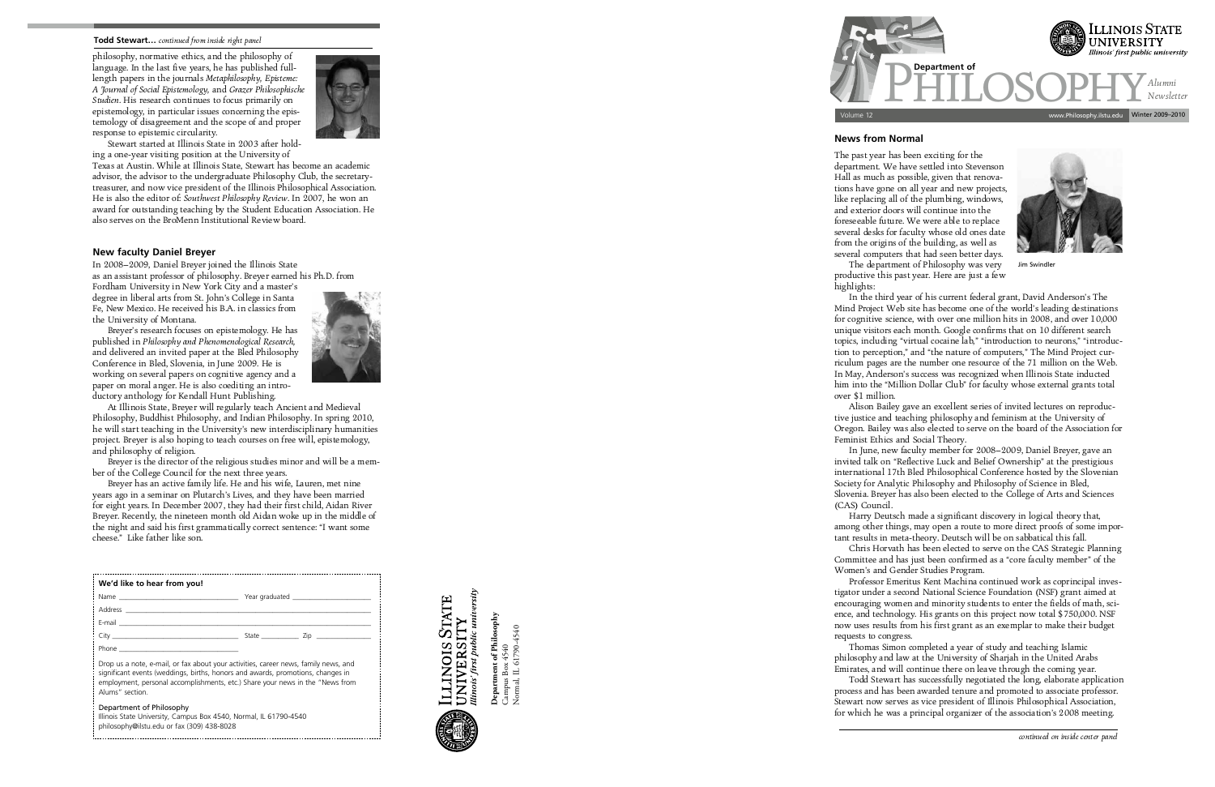## **News from Normal**

The past year has been exciting for the<br>department. We have settled into Stevenson Hall as much as possible, given that renova-Hall as much as possible, given that renova like replacing all of the plumbing, windows, and exterior doors will continue into the foreseeable future. We were able to replace several desks for faculty whose old ones date from the origins of the building, as well as several computers that had seen better days. The department of Philosophy was very. The department of Philosophy was very productive this past year. Here are just a few

highlights:<br>In the third year of his current federal grant, David Anderson's The Mind Project Web site has become one of the world's leading destinations for cognitive science, with over one million hits in 2008, and over 10,000 unique visitors each month. Google confirms that on 10 different search unique visitors each month. Google confirms that on 10 different search tion to perception," and "the nature of computers," The Mind Project curtion to perception," and "the nature of computers," The Mind Project cur - In May, Anderson's success was recognized when Illinois State inducted In May, Anderson's success was recognized when Illinois State inducted him into the "Million Dollar Club" for faculty whose external grants total over 41 million.<br>مانده مومنا

invited talk on "Reflective Luck and Belief Ownership" at the prestigious international 17th Bled Philosophical Conference hosted by the Slovenian Society for Analytic Philosophy and Philosophy of Science in Bled, Society for Analytic Philosophy and Philosophy of Science in Bled, Slovenia. Breyer has also been elected to the College of Arts and Sciences

tigator under a second National Science Foundation (NSF) grant aimed at tigator under a second National Science Foundation (NSF) grant aimed at ence, and technology. His grants on this project now total \$750,000. NSF ence, and technology. His grants on this project now total \$750,000. NSF now uses results from his first grant as an exemplar to make their budget

requests to congress.<br>Thomas Simon completed a year of study and teaching Islamic philosophy and law at the University of Sharjah in the United Arabs Emirates, and will continue there on leave through the coming vear. Todd Stewart has successfully negotiated the long, elaborate application process and has been awarded tenure and promoted to associate professor. Stewart now serves as vice president of Illinois Philosophical Association, Stewart now serves as vice president of Illinois Philosophical Association, for which he was a principal organizer of the association's 2008 meeting.

ILLINOIS STATE<br>UNIVERSITY<br>Illinois: first public university

(CAS) Council. Harry Deutsch made a significant discovery in logical theory that, tant results in meta-theory. Deutsch will be on sabbatical this fall. -

Chris Horvath has been elected to serve on the CAS Strategic Planning Committee and has just been confirmed as a "core faculty member" of the Women's and Gender Studies Program.

philosophy, normative ethics, and the philosophy of length papers in the journals Metaphilosophy, Episteme: A Tournal of Social Epistemology, and Grazer Philosophische *A Studien.* His research continues to focus primarily on epistemology, in particular issues concerning the episepistemology, in particular issues concerning the epis response to epistemic circularity.



response to epistemic circularity. ing a one-year visiting position at the University of

Women's and Gender Studies Program.

Texas at Austin. While at Illinois State. Stewart has become an academic advisor, the advisor to the undergraduate Philosophy Club, the secretarytreasurer, and now vice president of the Illinois Philosophical Association. He is also the editor of: Southwest Philosophy Review. In 2007, he won an award for outstanding teaching by the Student Education Association. He award for outstanding teaching by the Student Education Association. He also serves on the BroMenn Institutional Review board.

At Illinois State, Breyer will regularly teach Ancient and Medieval Philosophy, Buddhist Philosophy, and Indian Philosophy. In spring 2010, he will start teaching in the University's new interdisciplinary humanities he will start teaching in the University's new interdisciplinary humanities project. Breyer is also hoping to teach courses on free will, epistemology,

and philosophy of religion. ber of the College Council for the next three years.



**Department of Philosophy** Campus Box 4540 Normal, IL 61790-4540

Department of Philosophy Campus Box 4540<br>Normal, IL 61790-4540



Brever has an active family life. He and his wife, Lauren, met nine years ago in a seminar on Plutarch's Lives, and they have been married for eight years. In December 2007, they had their first child, Aidan River Brever. Recently, the nineteen month old Aidan woke up in the middle of Breyer. Recently, the nineteen month old Aidan woke up in the middle of the night and said his first grammatically correct sentence: "I want some cheese." Like father like son.

| We'd like to hear from you! |  |
|-----------------------------|--|
|                             |  |
|                             |  |
|                             |  |
|                             |  |
| Phone                       |  |

Drop us a note, e-mail, or fax about your activities, career news, family news, and significant events (weddings, births, honors and awards, promotions, changes in employment, personal accomplishments, etc.) Share your news in the "News from Alums" section.

## Department of Philosophy

Illinois State University, Campus Box 4540, Normal, IL 61790-4540 philosophy@ilstu.edu or fax (309) 438-8028



## **Todd Stewart…** *continued from inside right panel*

## **New faculty Daniel Breyer**

In 2008–2009, Daniel Breyer joined the Illinois State

Fordham University in New York City and a master's degree in liberal arts from St. John's College in Santa Fe, New Mexico. He received his B.A. in classics from the University of Montana.

Breyer's research focuses on epistemology. He has published in Philosophy and Phenomenological Research. and delivered an invited paper at the Bled Philosophy Conference in Bled, Slovenia, in June 2009. He is working on several papers on cognitive agency and a working on several papers on cognitive agency and a ductory anthology for Kendall Hunt Publishing.



Jim Swindler

tive justice and teaching philosophy and feminism at the University of tive justice and teaching philosophy and feminism at the University of Oregon. Bailey was also elected to serve on the board of the Association for Feminist Ethics and Social Theory.<br>In June, new faculty member for 2008–2009, Daniel Brever, gave an